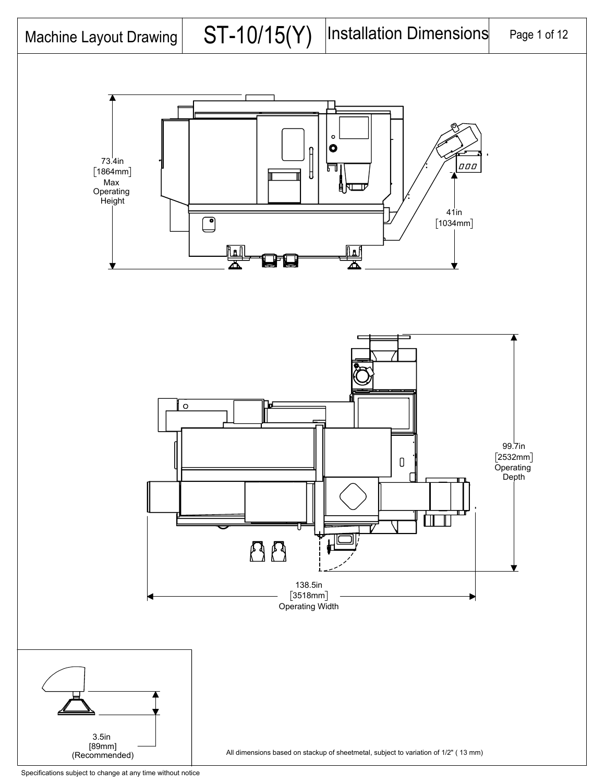

Specifications subject to change at any time without notice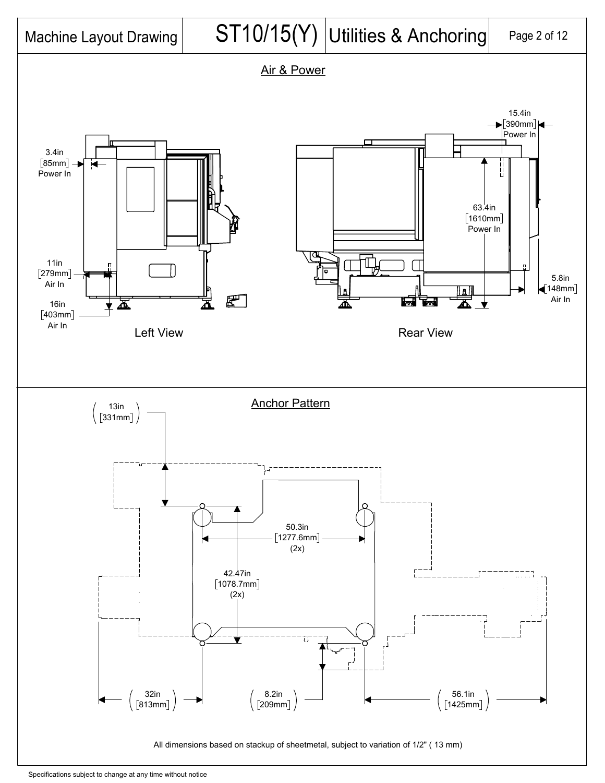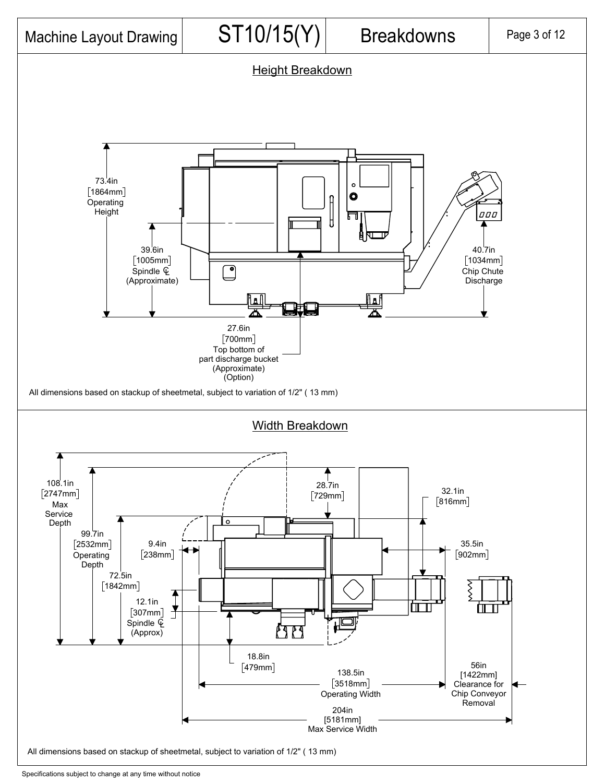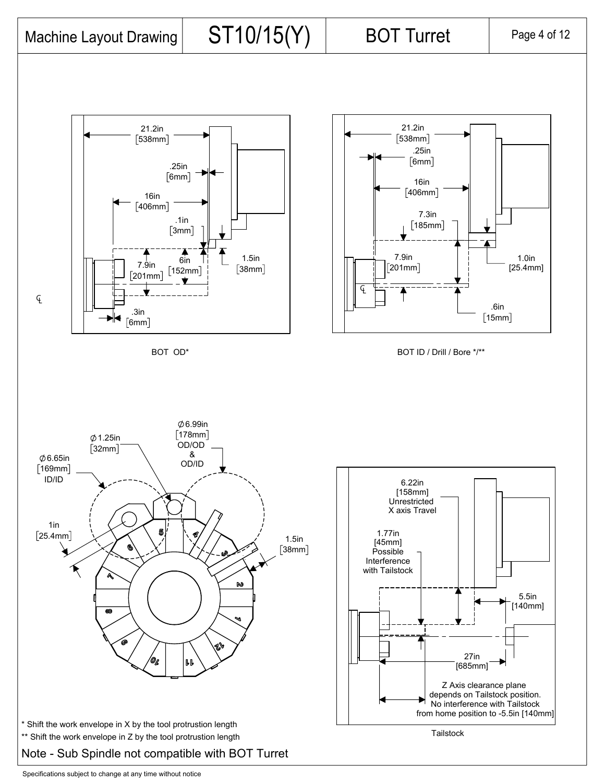Machine Layout Drawing  $\vert$  ST10/15(Y) BOT Turret  $\vert$  Page 4 of 12

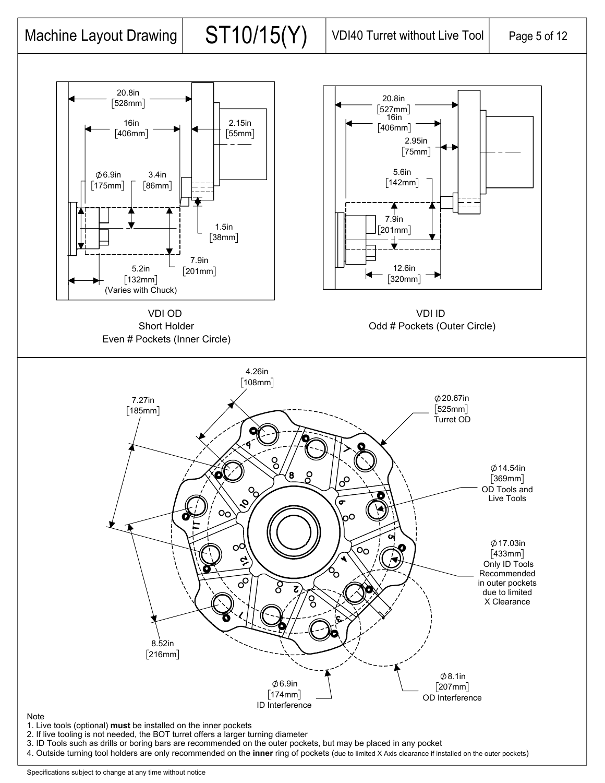

Specifications subject to change at any time without notice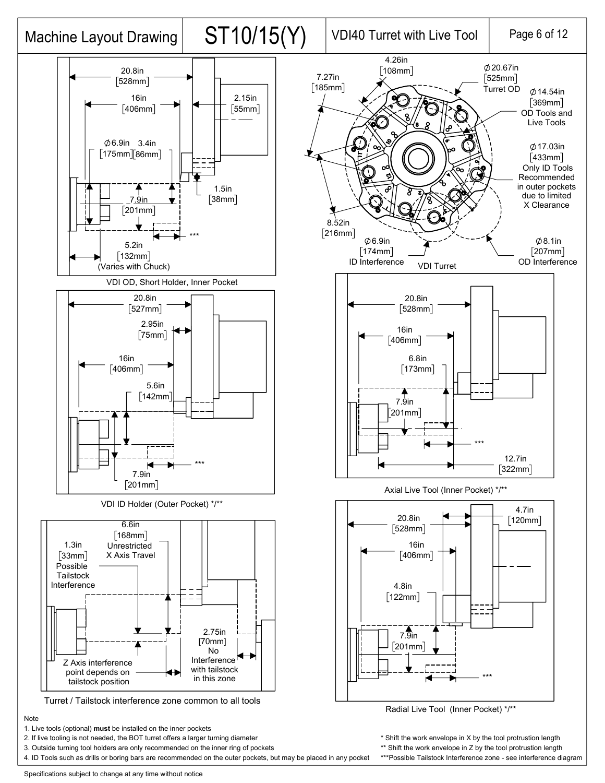

Note

1. Live tools (optional) **must** be installed on the inner pockets

2. If live tooling is not needed, the BOT turret offers a larger turning diameter

3. Outside turning tool holders are only recommended on the inner ring of pockets

4. ID Tools such as drills or boring bars are recommended on the outer pockets, but may be placed in any pocket

\* Shift the work envelope in X by the tool protrustion length \*\* Shift the work envelope in Z by the tool protrustion length

\*\*\*Possible Tailstock Interference zone - see interference diagram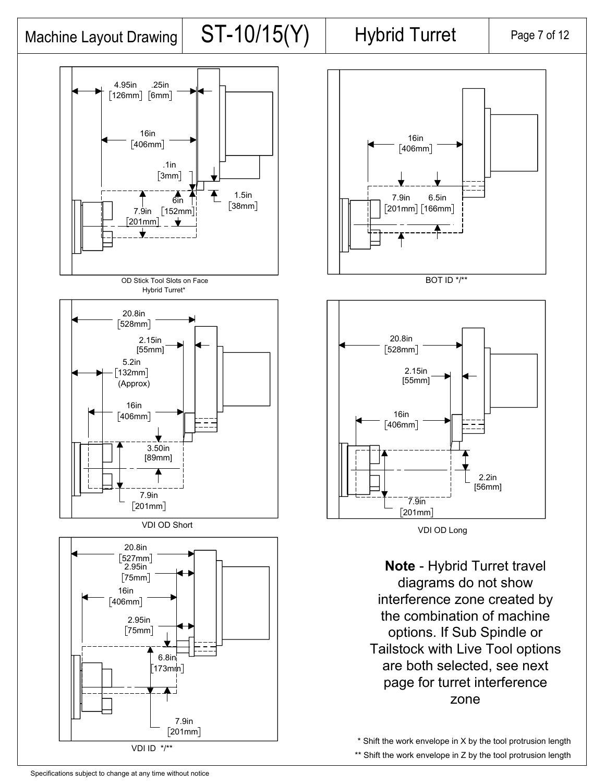# Machine Layout Drawing  $\vert$  ST-10/15(Y) Hybrid Turret  $\vert$  Page 7 of 12







BOT ID \*/\*\*



VDI OD Long

**Note** - Hybrid Turret travel diagrams do not show interference zone created by the combination of machine options. If Sub Spindle or Tailstock with Live Tool options are both selected, see next page for turret interference zone

\* Shift the work envelope in X by the tool protrusion length \*\* Shift the work envelope in Z by the tool protrusion length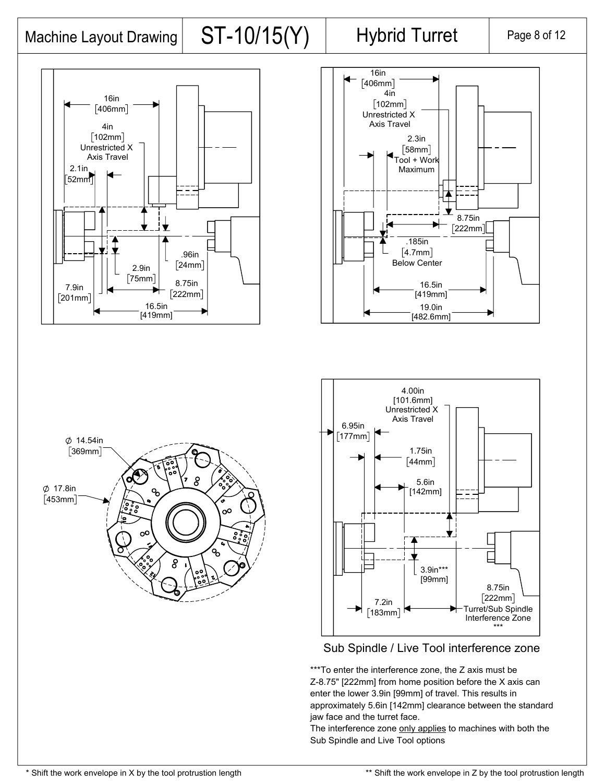## Machine Layout Drawing  $ST-10/15(Y)$  Hybrid Turret Page 8 of 12









### Sub Spindle / Live Tool interference zone

\*\*\*To enter the interference zone, the Z axis must be Z-8.75" [222mm] from home position before the X axis can enter the lower 3.9in [99mm] of travel. This results in approximately 5.6in [142mm] clearance between the standard jaw face and the turret face.

The interference zone only applies to machines with both the Sub Spindle and Live Tool options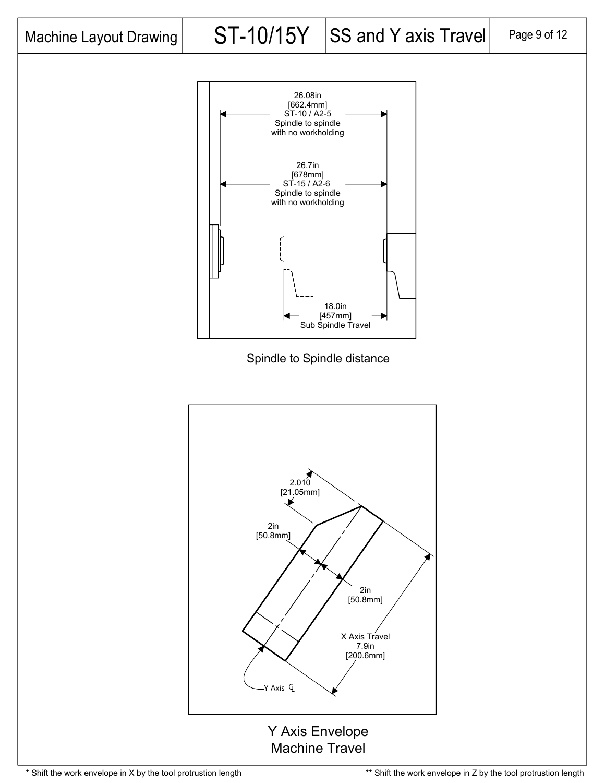

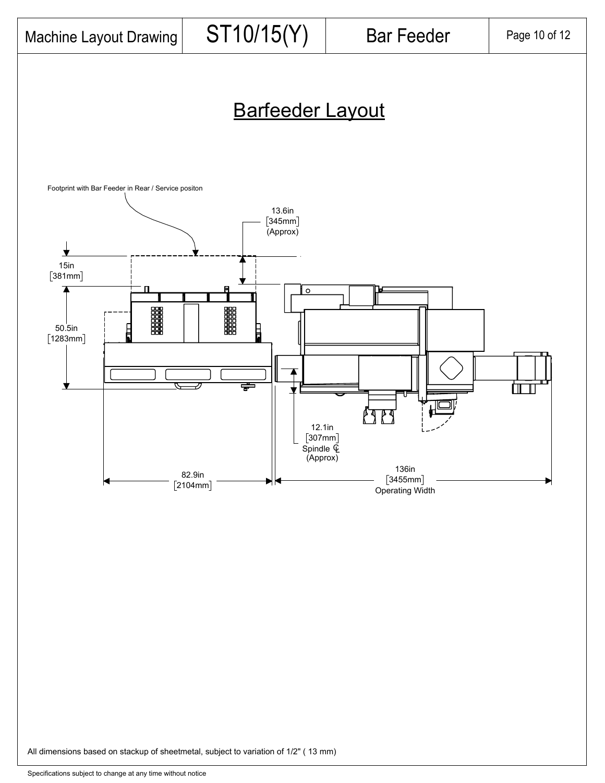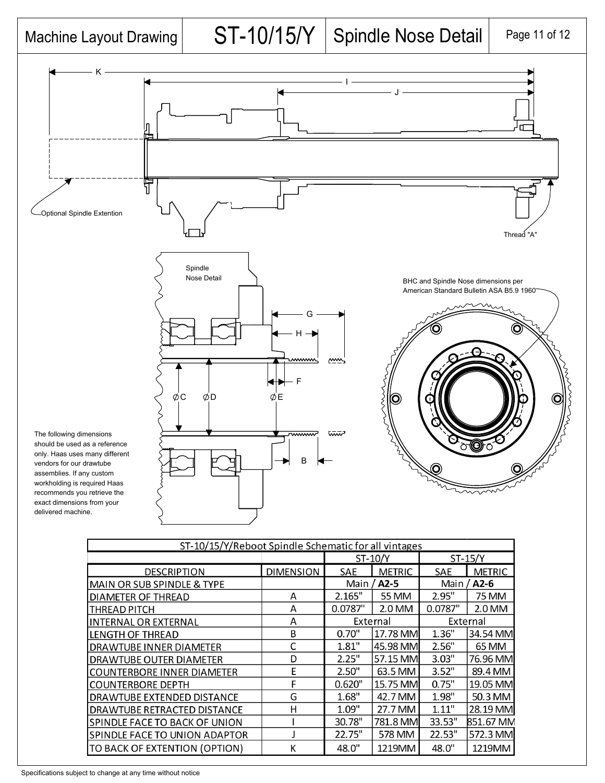# Machine Layout Drawing  $\vert$  ST-10/15/Y Spindle Nose Detail Page 11 of 12



| ST-10/15/Y/Reboot Spindle Schematic for all vintages |                  |                    |               |                    |               |  |  |
|------------------------------------------------------|------------------|--------------------|---------------|--------------------|---------------|--|--|
|                                                      |                  | ST-10/Y            |               | $ST-15/Y$          |               |  |  |
| <b>DESCRIPTION</b>                                   | <b>DIMENSION</b> | SAE                | <b>METRIC</b> | SAE                | <b>METRIC</b> |  |  |
| MAIN OR SUB SPINDLE & TYPE                           |                  | Main / <b>A2-5</b> |               | Main / <b>A2-6</b> |               |  |  |
| <b>DIAMETER OF THREAD</b>                            | A                | 2.165"             | 55 MM         | 2.95"              | 75 MM         |  |  |
| <b>THREAD PITCH</b>                                  | А                | 0.0787"            | 2.0 MM        | 0.0787"            | 2.0 MM        |  |  |
| INTERNAL OR EXTERNAL                                 | Α                | External           |               | External           |               |  |  |
| <b>LENGTH OF THREAD</b>                              | B                | 0.70"              | 17.78 MM      | 1.36"              | 34.54 MM      |  |  |
| <b>DRAWTUBE INNER DIAMETER</b>                       | С                | 1.81"              | 45.98 MM      | 2.56"              | 65 MM         |  |  |
| DRAWTUBE OUTER DIAMETER                              | D                | 2.25"              | 57.15 MM      | 3.03"              | 76.96 MM      |  |  |
| <b>COUNTERBORE INNER DIAMETER</b>                    | Ε                | 2.50"              | 63.5 MM       | 3.52"              | 89.4 MM       |  |  |
| <b>COUNTERBORE DEPTH</b>                             | F                | 0.620"             | 15.75 MM      | 0.75"              | 19.05 MM      |  |  |
| <b>DRAWTUBE EXTENDED DISTANCE</b>                    | G                | 1.68"              | 42.7 MM       | 1.98"              | 50.3 MM       |  |  |
| DRAWTUBE RETRACTED DISTANCE                          | Η                | 1.09"              | 27.7 MM       | 1.11"              | 28.19 MM      |  |  |
| SPINDLE FACE TO BACK OF UNION                        |                  | 30.78"             | 781.8 MM      | 33.53"             | 851.67 MM     |  |  |
| SPINDLE FACE TO UNION ADAPTOR                        |                  | 22.75"             | 578 MM        | 22.53"             | 572.3 MM      |  |  |
| TO BACK OF EXTENTION (OPTION)                        | К                | 48.0"              | 1219MM        | 48.0"              | 1219MM        |  |  |

Specifications subject to change at any time without notice